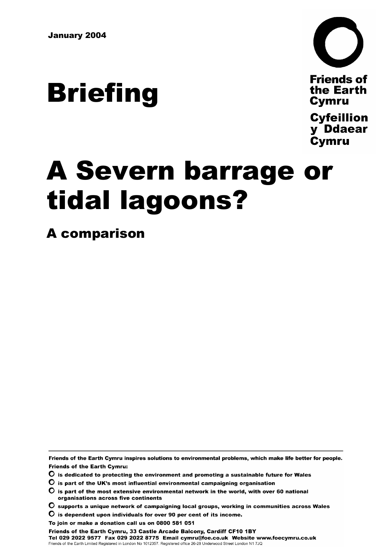# **Briefing**



**Friends of** the Earth **Cymru** 

**Cyfeillion** y Ddaear **Cymru** 

## A Severn barrage or tidal lagoons?

A comparison

Friends of the Earth Cymru inspires solutions to environmental problems, which make life better for people. **Friends of the Earth Cymru:** 

 $\mathbf O$  is dedicated to protecting the environment and promoting a sustainable future for Wales

- $\overline{\mathbf{O}}$  is part of the UK's most influential environmental campaigning organisation
- $\bullet$  is part of the most extensive environmental network in the world, with over 60 national organisations across five continents
- $\bullet$  supports a unique network of campaigning local groups, working in communities across Wales

 $\mathbf O$  is dependent upon individuals for over 90 per cent of its income.

To join or make a donation call us on 0800 581 051

Friends of the Earth Cymru, 33 Castle Arcade Balcony, Cardiff CF10 1BY Tel 029 2022 9577 Fax 029 2022 8775 Email cymru@foe.co.uk Website www.foecymru.co.uk Friends of the Earth Limited Registered in London No 1012357. Registered office 26-28 Underwood Street London N1 7JQ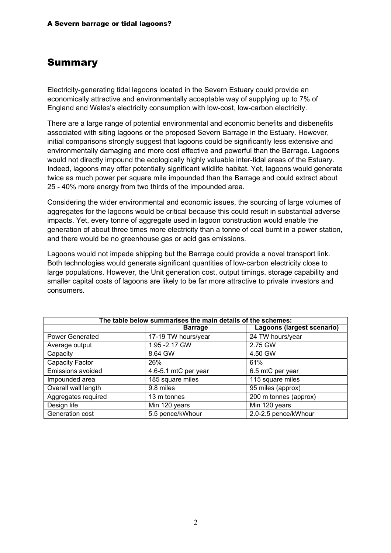#### **Summary**

Electricity-generating tidal lagoons located in the Severn Estuary could provide an economically attractive and environmentally acceptable way of supplying up to 7% of England and Wales's electricity consumption with low-cost, low-carbon electricity.

There are a large range of potential environmental and economic benefits and disbenefits associated with siting lagoons or the proposed Severn Barrage in the Estuary. However, initial comparisons strongly suggest that lagoons could be significantly less extensive and environmentally damaging and more cost effective and powerful than the Barrage. Lagoons would not directly impound the ecologically highly valuable inter-tidal areas of the Estuary. Indeed, lagoons may offer potentially significant wildlife habitat. Yet, lagoons would generate twice as much power per square mile impounded than the Barrage and could extract about 25 - 40% more energy from two thirds of the impounded area.

Considering the wider environmental and economic issues, the sourcing of large volumes of aggregates for the lagoons would be critical because this could result in substantial adverse impacts. Yet, every tonne of aggregate used in lagoon construction would enable the generation of about three times more electricity than a tonne of coal burnt in a power station, and there would be no greenhouse gas or acid gas emissions.

Lagoons would not impede shipping but the Barrage could provide a novel transport link. Both technologies would generate significant quantities of low-carbon electricity close to large populations. However, the Unit generation cost, output timings, storage capability and smaller capital costs of lagoons are likely to be far more attractive to private investors and consumers.

| The table below summarises the main details of the schemes: |                      |                            |
|-------------------------------------------------------------|----------------------|----------------------------|
|                                                             | <b>Barrage</b>       | Lagoons (largest scenario) |
| <b>Power Generated</b>                                      | 17-19 TW hours/year  | 24 TW hours/year           |
| Average output                                              | 1.95 - 2.17 GW       | 2.75 GW                    |
| Capacity                                                    | 8.64 GW              | 4.50 GW                    |
| Capacity Factor                                             | 26%                  | 61%                        |
| Emissions avoided                                           | 4.6-5.1 mtC per year | 6.5 mtC per year           |
| Impounded area                                              | 185 square miles     | 115 square miles           |
| Overall wall length                                         | 9.8 miles            | 95 miles (approx)          |
| Aggregates required                                         | 13 m tonnes          | 200 m tonnes (approx)      |
| Design life                                                 | Min 120 years        | Min 120 years              |
| Generation cost                                             | 5.5 pence/kWhour     | 2.0-2.5 pence/kWhour       |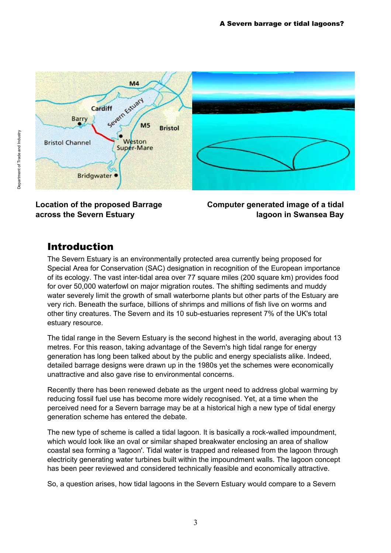

**Location of the proposed Barrage across the Severn Estuary**

**Computer generated image of a tidal lagoon in Swansea Bay**

#### Introduction

The Severn Estuary is an environmentally protected area currently being proposed for Special Area for Conservation (SAC) designation in recognition of the European importance of its ecology. The vast inter-tidal area over 77 square miles (200 square km) provides food for over 50,000 waterfowl on major migration routes. The shifting sediments and muddy water severely limit the growth of small waterborne plants but other parts of the Estuary are very rich. Beneath the surface, billions of shrimps and millions of fish live on worms and other tiny creatures. The Severn and its 10 sub-estuaries represent 7% of the UK's total estuary resource.

The tidal range in the Severn Estuary is the second highest in the world, averaging about 13 metres. For this reason, taking advantage of the Severn's high tidal range for energy generation has long been talked about by the public and energy specialists alike. Indeed, detailed barrage designs were drawn up in the 1980s yet the schemes were economically unattractive and also gave rise to environmental concerns.

Recently there has been renewed debate as the urgent need to address global warming by reducing fossil fuel use has become more widely recognised. Yet, at a time when the perceived need for a Severn barrage may be at a historical high a new type of tidal energy generation scheme has entered the debate.

The new type of scheme is called a tidal lagoon. It is basically a rock-walled impoundment, which would look like an oval or similar shaped breakwater enclosing an area of shallow coastal sea forming a 'lagoon'. Tidal water is trapped and released from the lagoon through electricity generating water turbines built within the impoundment walls. The lagoon concept has been peer reviewed and considered technically feasible and economically attractive.

So, a question arises, how tidal lagoons in the Severn Estuary would compare to a Severn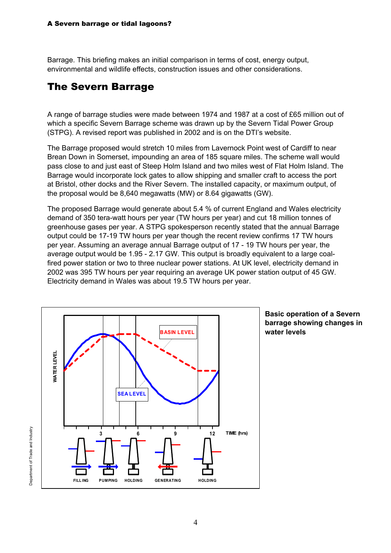Barrage. This briefing makes an initial comparison in terms of cost, energy output, environmental and wildlife effects, construction issues and other considerations.

#### The Severn Barrage

A range of barrage studies were made between 1974 and 1987 at a cost of £65 million out of which a specific Severn Barrage scheme was drawn up by the Severn Tidal Power Group (STPG). A revised report was published in 2002 and is on the DTI's website.

The Barrage proposed would stretch 10 miles from Lavernock Point west of Cardiff to near Brean Down in Somerset, impounding an area of 185 square miles. The scheme wall would pass close to and just east of Steep Holm Island and two miles west of Flat Holm Island. The Barrage would incorporate lock gates to allow shipping and smaller craft to access the port at Bristol, other docks and the River Severn. The installed capacity, or maximum output, of the proposal would be 8,640 megawatts (MW) or 8.64 gigawatts (GW).

The proposed Barrage would generate about 5.4 % of current England and Wales electricity demand of 350 tera-watt hours per year (TW hours per year) and cut 18 million tonnes of greenhouse gases per year. A STPG spokesperson recently stated that the annual Barrage output could be 17-19 TW hours per year though the recent review confirms 17 TW hours per year. Assuming an average annual Barrage output of 17 - 19 TW hours per year, the average output would be 1.95 - 2.17 GW. This output is broadly equivalent to a large coalfired power station or two to three nuclear power stations. At UK level, electricity demand in 2002 was 395 TW hours per year requiring an average UK power station output of 45 GW. Electricity demand in Wales was about 19.5 TW hours per year.



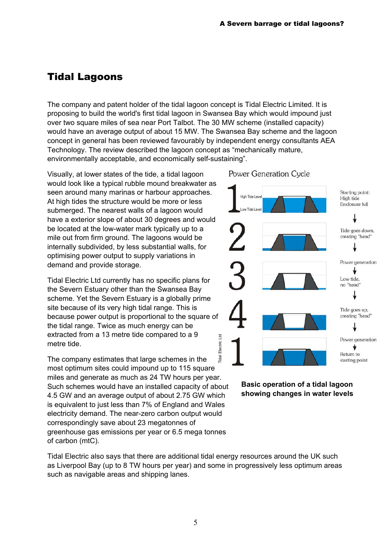#### Tidal Lagoons

The company and patent holder of the tidal lagoon concept is Tidal Electric Limited. It is proposing to build the world's first tidal lagoon in Swansea Bay which would impound just over two square miles of sea near Port Talbot. The 30 MW scheme (installed capacity) would have an average output of about 15 MW. The Swansea Bay scheme and the lagoon concept in general has been reviewed favourably by independent energy consultants AEA Technology. The review described the lagoon concept as "mechanically mature, environmentally acceptable, and economically self-sustaining".

Visually, at lower states of the tide, a tidal lagoon would look like a typical rubble mound breakwater as seen around many marinas or harbour approaches. At high tides the structure would be more or less submerged. The nearest walls of a lagoon would have a exterior slope of about 30 degrees and would be located at the low-water mark typically up to a mile out from firm ground. The lagoons would be internally subdivided, by less substantial walls, for optimising power output to supply variations in demand and provide storage.

Tidal Electric Ltd currently has no specific plans for the Severn Estuary other than the Swansea Bay scheme. Yet the Severn Estuary is a globally prime site because of its very high tidal range. This is because power output is proportional to the square o f the tidal range. Twice as much energy can be extracted from a 13 metre tide compared to a 9 metre tide.

Tidal Electric Ltd idal The company estimates that large schemes in the most optimum sites could impound up to 115 square miles and generate as much as 24 TW hours per year. Such schemes would have an installed capacity of about 4.5 GW and an average output of about 2.75 GW which is equivalent to just less than 7% of England and Wales electricity demand. The near-zero carbon output would correspondingly save about 23 megatonnes of greenhouse gas emissions per year or 6.5 mega tonnes of carbon (mtC).

Power Generation Cycle



**Basic operation of a tidal lagoon showing changes in water levels** 

Tidal Electric also says that there are additional tidal energy resources around the UK such as Liverpool Bay (up to 8 TW hours per year) and some in progressively less optimum areas such as navigable areas and shipping lanes.

Electric Ltd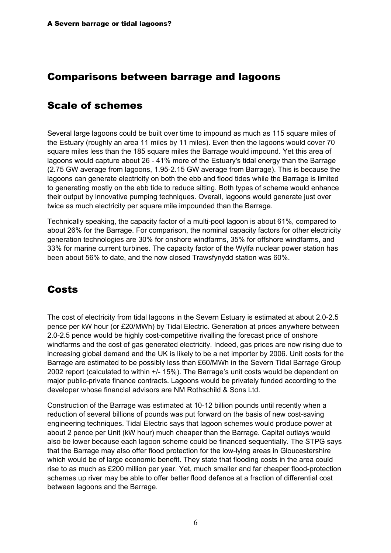#### Comparisons between barrage and lagoons

#### Scale of schemes

Several large lagoons could be built over time to impound as much as 115 square miles of the Estuary (roughly an area 11 miles by 11 miles). Even then the lagoons would cover 70 square miles less than the 185 square miles the Barrage would impound. Yet this area of lagoons would capture about 26 - 41% more of the Estuary's tidal energy than the Barrage (2.75 GW average from lagoons, 1.95-2.15 GW average from Barrage). This is because the lagoons can generate electricity on both the ebb and flood tides while the Barrage is limited to generating mostly on the ebb tide to reduce silting. Both types of scheme would enhance their output by innovative pumping techniques. Overall, lagoons would generate just over twice as much electricity per square mile impounded than the Barrage.

Technically speaking, the capacity factor of a multi-pool lagoon is about 61%, compared to about 26% for the Barrage. For comparison, the nominal capacity factors for other electricity generation technologies are 30% for onshore windfarms, 35% for offshore windfarms, and 33% for marine current turbines. The capacity factor of the Wylfa nuclear power station has been about 56% to date, and the now closed Trawsfynydd station was 60%.

## Costs

The cost of electricity from tidal lagoons in the Severn Estuary is estimated at about 2.0-2.5 pence per kW hour (or £20/MWh) by Tidal Electric. Generation at prices anywhere between 2.0-2.5 pence would be highly cost-competitive rivalling the forecast price of onshore windfarms and the cost of gas generated electricity. Indeed, gas prices are now rising due to increasing global demand and the UK is likely to be a net importer by 2006. Unit costs for the Barrage are estimated to be possibly less than £60/MWh in the Severn Tidal Barrage Group 2002 report (calculated to within +/- 15%). The Barrage's unit costs would be dependent on major public-private finance contracts. Lagoons would be privately funded according to the developer whose financial advisors are NM Rothschild & Sons Ltd.

Construction of the Barrage was estimated at 10-12 billion pounds until recently when a reduction of several billions of pounds was put forward on the basis of new cost-saving engineering techniques. Tidal Electric says that lagoon schemes would produce power at about 2 pence per Unit (kW hour) much cheaper than the Barrage. Capital outlays would also be lower because each lagoon scheme could be financed sequentially. The STPG says that the Barrage may also offer flood protection for the low-lying areas in Gloucestershire which would be of large economic benefit. They state that flooding costs in the area could rise to as much as £200 million per year. Yet, much smaller and far cheaper flood-protection schemes up river may be able to offer better flood defence at a fraction of differential cost between lagoons and the Barrage.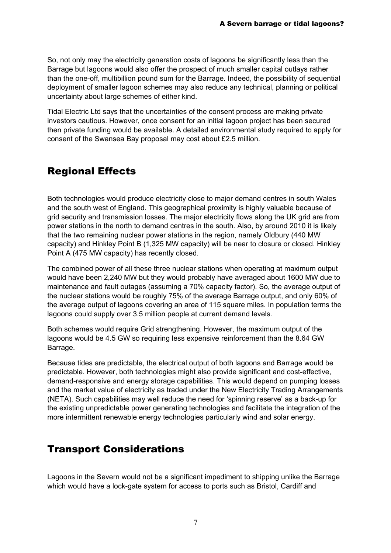So, not only may the electricity generation costs of lagoons be significantly less than the Barrage but lagoons would also offer the prospect of much smaller capital outlays rather than the one-off, multibillion pound sum for the Barrage. Indeed, the possibility of sequential deployment of smaller lagoon schemes may also reduce any technical, planning or political uncertainty about large schemes of either kind.

Tidal Electric Ltd says that the uncertainties of the consent process are making private investors cautious. However, once consent for an initial lagoon project has been secured then private funding would be available. A detailed environmental study required to apply for consent of the Swansea Bay proposal may cost about £2.5 million.

### Regional Effects

Both technologies would produce electricity close to major demand centres in south Wales and the south west of England. This geographical proximity is highly valuable because of grid security and transmission losses. The major electricity flows along the UK grid are from power stations in the north to demand centres in the south. Also, by around 2010 it is likely that the two remaining nuclear power stations in the region, namely Oldbury (440 MW capacity) and Hinkley Point B (1,325 MW capacity) will be near to closure or closed. Hinkley Point A (475 MW capacity) has recently closed.

The combined power of all these three nuclear stations when operating at maximum output would have been 2,240 MW but they would probably have averaged about 1600 MW due to maintenance and fault outages (assuming a 70% capacity factor). So, the average output of the nuclear stations would be roughly 75% of the average Barrage output, and only 60% of the average output of lagoons covering an area of 115 square miles. In population terms the lagoons could supply over 3.5 million people at current demand levels.

Both schemes would require Grid strengthening. However, the maximum output of the lagoons would be 4.5 GW so requiring less expensive reinforcement than the 8.64 GW Barrage.

Because tides are predictable, the electrical output of both lagoons and Barrage would be predictable. However, both technologies might also provide significant and cost-effective, demand-responsive and energy storage capabilities. This would depend on pumping losses and the market value of electricity as traded under the New Electricity Trading Arrangements (NETA). Such capabilities may well reduce the need for 'spinning reserve' as a back-up for the existing unpredictable power generating technologies and facilitate the integration of the more intermittent renewable energy technologies particularly wind and solar energy.

#### Transport Considerations

Lagoons in the Severn would not be a significant impediment to shipping unlike the Barrage which would have a lock-gate system for access to ports such as Bristol, Cardiff and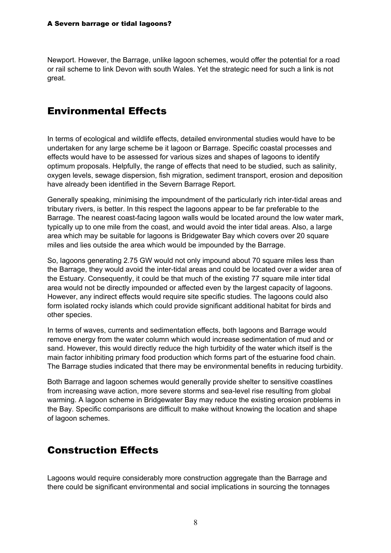Newport. However, the Barrage, unlike lagoon schemes, would offer the potential for a road or rail scheme to link Devon with south Wales. Yet the strategic need for such a link is not great.

## Environmental Effects

In terms of ecological and wildlife effects, detailed environmental studies would have to be undertaken for any large scheme be it lagoon or Barrage. Specific coastal processes and effects would have to be assessed for various sizes and shapes of lagoons to identify optimum proposals. Helpfully, the range of effects that need to be studied, such as salinity, oxygen levels, sewage dispersion, fish migration, sediment transport, erosion and deposition have already been identified in the Severn Barrage Report.

Generally speaking, minimising the impoundment of the particularly rich inter-tidal areas and tributary rivers, is better. In this respect the lagoons appear to be far preferable to the Barrage. The nearest coast-facing lagoon walls would be located around the low water mark, typically up to one mile from the coast, and would avoid the inter tidal areas. Also, a large area which may be suitable for lagoons is Bridgewater Bay which covers over 20 square miles and lies outside the area which would be impounded by the Barrage.

So, lagoons generating 2.75 GW would not only impound about 70 square miles less than the Barrage, they would avoid the inter-tidal areas and could be located over a wider area of the Estuary. Consequently, it could be that much of the existing 77 square mile inter tidal area would not be directly impounded or affected even by the largest capacity of lagoons. However, any indirect effects would require site specific studies. The lagoons could also form isolated rocky islands which could provide significant additional habitat for birds and other species.

In terms of waves, currents and sedimentation effects, both lagoons and Barrage would remove energy from the water column which would increase sedimentation of mud and or sand. However, this would directly reduce the high turbidity of the water which itself is the main factor inhibiting primary food production which forms part of the estuarine food chain. The Barrage studies indicated that there may be environmental benefits in reducing turbidity.

Both Barrage and lagoon schemes would generally provide shelter to sensitive coastlines from increasing wave action, more severe storms and sea-level rise resulting from global warming. A lagoon scheme in Bridgewater Bay may reduce the existing erosion problems in the Bay. Specific comparisons are difficult to make without knowing the location and shape of lagoon schemes.

## Construction Effects

Lagoons would require considerably more construction aggregate than the Barrage and there could be significant environmental and social implications in sourcing the tonnages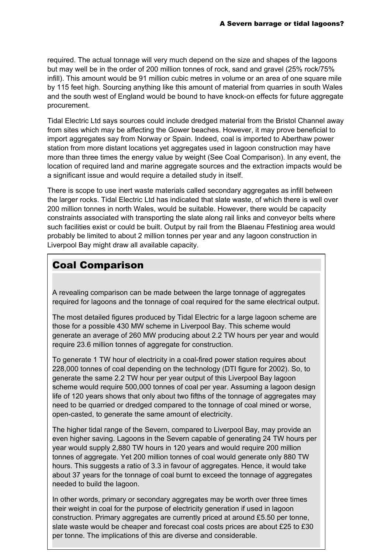required. The actual tonnage will very much depend on the size and shapes of the lagoons but may well be in the order of 200 million tonnes of rock, sand and gravel (25% rock/75% infill). This amount would be 91 million cubic metres in volume or an area of one square mile by 115 feet high. Sourcing anything like this amount of material from quarries in south Wales and the south west of England would be bound to have knock-on effects for future aggregate procurement.

Tidal Electric Ltd says sources could include dredged material from the Bristol Channel away from sites which may be affecting the Gower beaches. However, it may prove beneficial to import aggregates say from Norway or Spain. Indeed, coal is imported to Aberthaw power station from more distant locations yet aggregates used in lagoon construction may have more than three times the energy value by weight (See Coal Comparison). In any event, the location of required land and marine aggregate sources and the extraction impacts would be a significant issue and would require a detailed study in itself.

There is scope to use inert waste materials called secondary aggregates as infill between the larger rocks. Tidal Electric Ltd has indicated that slate waste, of which there is well over 200 million tonnes in north Wales, would be suitable. However, there would be capacity constraints associated with transporting the slate along rail links and conveyor belts where such facilities exist or could be built. Output by rail from the Blaenau Ffestiniog area would probably be limited to about 2 million tonnes per year and any lagoon construction in Liverpool Bay might draw all available capacity.

#### Coal Comparison

A revealing comparison can be made between the large tonnage of aggregates required for lagoons and the tonnage of coal required for the same electrical output.

The most detailed figures produced by Tidal Electric for a large lagoon scheme are those for a possible 430 MW scheme in Liverpool Bay. This scheme would generate an average of 260 MW producing about 2.2 TW hours per year and would require 23.6 million tonnes of aggregate for construction.

To generate 1 TW hour of electricity in a coal-fired power station requires about 228,000 tonnes of coal depending on the technology (DTI figure for 2002). So, to generate the same 2.2 TW hour per year output of this Liverpool Bay lagoon scheme would require 500,000 tonnes of coal per year. Assuming a lagoon design life of 120 years shows that only about two fifths of the tonnage of aggregates may need to be quarried or dredged compared to the tonnage of coal mined or worse, open-casted, to generate the same amount of electricity.

The higher tidal range of the Severn, compared to Liverpool Bay, may provide an even higher saving. Lagoons in the Severn capable of generating 24 TW hours per year would supply 2,880 TW hours in 120 years and would require 200 million tonnes of aggregate. Yet 200 million tonnes of coal would generate only 880 TW hours. This suggests a ratio of 3.3 in favour of aggregates. Hence, it would take about 37 years for the tonnage of coal burnt to exceed the tonnage of aggregates needed to build the lagoon.

9 slate waste would be cheaper and forecast coal costs prices are about £25 to £30 In other words, primary or secondary aggregates may be worth over three times their weight in coal for the purpose of electricity generation if used in lagoon construction. Primary aggregates are currently priced at around £5.50 per tonne, per tonne. The implications of this are diverse and considerable.